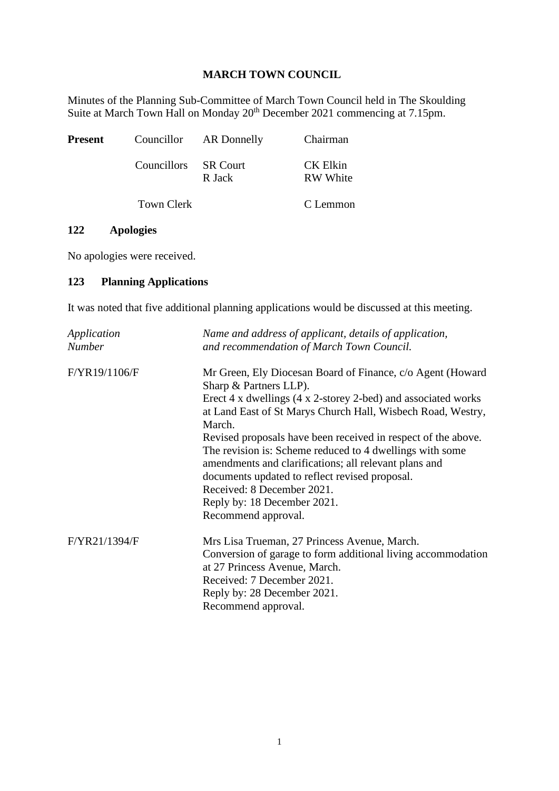## **MARCH TOWN COUNCIL**

Minutes of the Planning Sub-Committee of March Town Council held in The Skoulding Suite at March Town Hall on Monday 20<sup>th</sup> December 2021 commencing at 7.15pm.

| <b>Present</b> |                      | Councillor AR Donnelly | Chairman                           |
|----------------|----------------------|------------------------|------------------------------------|
|                | Councillors SR Court | R Jack                 | <b>CK Elkin</b><br><b>RW</b> White |
|                | Town Clerk           |                        | C Lemmon                           |

## **122 Apologies**

No apologies were received.

## **123 Planning Applications**

It was noted that five additional planning applications would be discussed at this meeting.

| Application<br><b>Number</b> | Name and address of applicant, details of application,<br>and recommendation of March Town Council.               |
|------------------------------|-------------------------------------------------------------------------------------------------------------------|
| F/YR19/1106/F                | Mr Green, Ely Diocesan Board of Finance, c/o Agent (Howard<br>Sharp & Partners LLP).                              |
|                              | Erect 4 x dwellings (4 x 2-storey 2-bed) and associated works                                                     |
|                              | at Land East of St Marys Church Hall, Wisbech Road, Westry,                                                       |
|                              | March.                                                                                                            |
|                              | Revised proposals have been received in respect of the above.                                                     |
|                              | The revision is: Scheme reduced to 4 dwellings with some<br>amendments and clarifications; all relevant plans and |
|                              | documents updated to reflect revised proposal.                                                                    |
|                              | Received: 8 December 2021.                                                                                        |
|                              | Reply by: 18 December 2021.                                                                                       |
|                              | Recommend approval.                                                                                               |
| F/YR21/1394/F                | Mrs Lisa Trueman, 27 Princess Avenue, March.                                                                      |
|                              | Conversion of garage to form additional living accommodation                                                      |
|                              | at 27 Princess Avenue, March.                                                                                     |
|                              | Received: 7 December 2021.                                                                                        |
|                              | Reply by: 28 December 2021.                                                                                       |
|                              | Recommend approval.                                                                                               |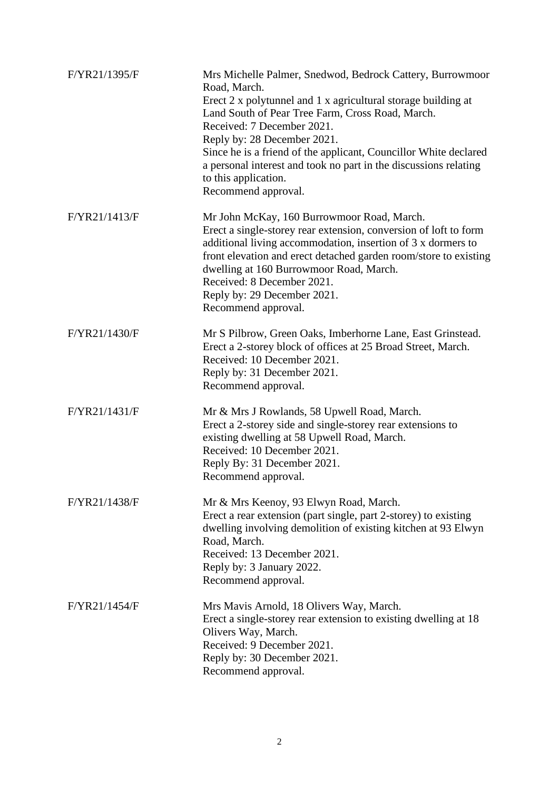| F/YR21/1395/F | Mrs Michelle Palmer, Snedwod, Bedrock Cattery, Burrowmoor<br>Road, March.<br>Erect 2 x polytunnel and 1 x agricultural storage building at<br>Land South of Pear Tree Farm, Cross Road, March.<br>Received: 7 December 2021.<br>Reply by: 28 December 2021.<br>Since he is a friend of the applicant, Councillor White declared<br>a personal interest and took no part in the discussions relating<br>to this application.<br>Recommend approval. |
|---------------|----------------------------------------------------------------------------------------------------------------------------------------------------------------------------------------------------------------------------------------------------------------------------------------------------------------------------------------------------------------------------------------------------------------------------------------------------|
| F/YR21/1413/F | Mr John McKay, 160 Burrowmoor Road, March.<br>Erect a single-storey rear extension, conversion of loft to form<br>additional living accommodation, insertion of 3 x dormers to<br>front elevation and erect detached garden room/store to existing<br>dwelling at 160 Burrowmoor Road, March.<br>Received: 8 December 2021.<br>Reply by: 29 December 2021.<br>Recommend approval.                                                                  |
| F/YR21/1430/F | Mr S Pilbrow, Green Oaks, Imberhorne Lane, East Grinstead.<br>Erect a 2-storey block of offices at 25 Broad Street, March.<br>Received: 10 December 2021.<br>Reply by: 31 December 2021.<br>Recommend approval.                                                                                                                                                                                                                                    |
| F/YR21/1431/F | Mr & Mrs J Rowlands, 58 Upwell Road, March.<br>Erect a 2-storey side and single-storey rear extensions to<br>existing dwelling at 58 Upwell Road, March.<br>Received: 10 December 2021.<br>Reply By: 31 December 2021.<br>Recommend approval.                                                                                                                                                                                                      |
| F/YR21/1438/F | Mr & Mrs Keenoy, 93 Elwyn Road, March.<br>Erect a rear extension (part single, part 2-storey) to existing<br>dwelling involving demolition of existing kitchen at 93 Elwyn<br>Road, March.<br>Received: 13 December 2021.<br>Reply by: 3 January 2022.<br>Recommend approval.                                                                                                                                                                      |
| F/YR21/1454/F | Mrs Mavis Arnold, 18 Olivers Way, March.<br>Erect a single-storey rear extension to existing dwelling at 18<br>Olivers Way, March.<br>Received: 9 December 2021.<br>Reply by: 30 December 2021.<br>Recommend approval.                                                                                                                                                                                                                             |